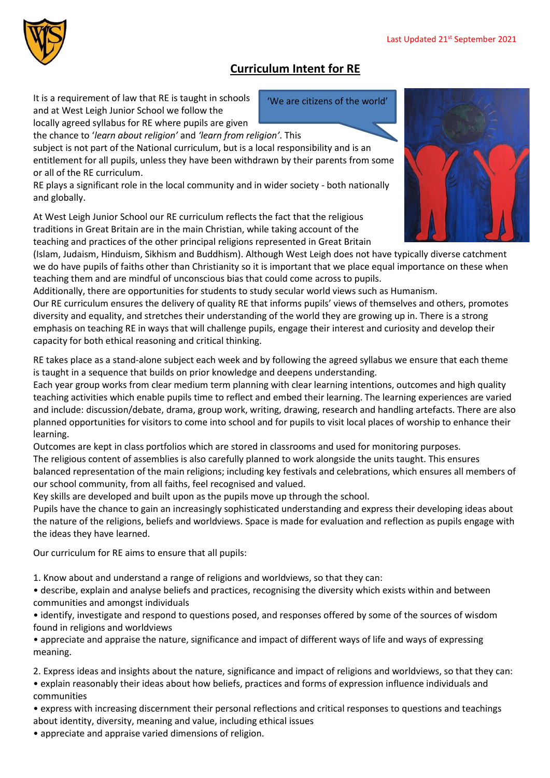## **Curriculum Intent for RE**

It is a requirement of law that RE is taught in schools and at West Leigh Junior School we follow the

locally agreed syllabus for RE where pupils are given the chance to '*learn about religion'* and *'learn from religion'*. This

subject is not part of the National curriculum, but is a local responsibility and is an entitlement for all pupils, unless they have been withdrawn by their parents from some or all of the RE curriculum.

RE plays a significant role in the local community and in wider society - both nationally and globally.

At West Leigh Junior School our RE curriculum reflects the fact that the religious traditions in Great Britain are in the main Christian, while taking account of the teaching and practices of the other principal religions represented in Great Britain

(Islam, Judaism, Hinduism, Sikhism and Buddhism). Although West Leigh does not have typically diverse catchment we do have pupils of faiths other than Christianity so it is important that we place equal importance on these when teaching them and are mindful of unconscious bias that could come across to pupils.

Additionally, there are opportunities for students to study secular world views such as Humanism.

Our RE curriculum ensures the delivery of quality RE that informs pupils' views of themselves and others, promotes diversity and equality, and stretches their understanding of the world they are growing up in. There is a strong emphasis on teaching RE in ways that will challenge pupils, engage their interest and curiosity and develop their capacity for both ethical reasoning and critical thinking.

RE takes place as a stand-alone subject each week and by following the agreed syllabus we ensure that each theme is taught in a sequence that builds on prior knowledge and deepens understanding.

Each year group works from clear medium term planning with clear learning intentions, outcomes and high quality teaching activities which enable pupils time to reflect and embed their learning. The learning experiences are varied and include: discussion/debate, drama, group work, writing, drawing, research and handling artefacts. There are also planned opportunities for visitors to come into school and for pupils to visit local places of worship to enhance their learning.

Outcomes are kept in class portfolios which are stored in classrooms and used for monitoring purposes.

The religious content of assemblies is also carefully planned to work alongside the units taught. This ensures balanced representation of the main religions; including key festivals and celebrations, which ensures all members of our school community, from all faiths, feel recognised and valued.

Key skills are developed and built upon as the pupils move up through the school.

Pupils have the chance to gain an increasingly sophisticated understanding and express their developing ideas about the nature of the religions, beliefs and worldviews. Space is made for evaluation and reflection as pupils engage with the ideas they have learned.

Our curriculum for RE aims to ensure that all pupils:

1. Know about and understand a range of religions and worldviews, so that they can:

• describe, explain and analyse beliefs and practices, recognising the diversity which exists within and between communities and amongst individuals

• identify, investigate and respond to questions posed, and responses offered by some of the sources of wisdom found in religions and worldviews

• appreciate and appraise the nature, significance and impact of different ways of life and ways of expressing meaning.

2. Express ideas and insights about the nature, significance and impact of religions and worldviews, so that they can:

• explain reasonably their ideas about how beliefs, practices and forms of expression influence individuals and communities

• express with increasing discernment their personal reflections and critical responses to questions and teachings about identity, diversity, meaning and value, including ethical issues

• appreciate and appraise varied dimensions of religion.